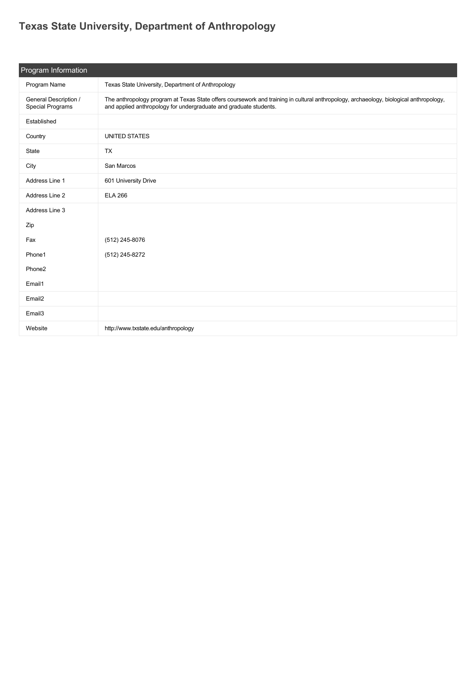## **[Texas State University, Department of Anthropology](https://guide.americananthro.org/964/Texas-State-University-Department-of-Anthropology)**

| Program Information                       |                                                                                                                                                                                                             |  |  |
|-------------------------------------------|-------------------------------------------------------------------------------------------------------------------------------------------------------------------------------------------------------------|--|--|
| Program Name                              | Texas State University, Department of Anthropology                                                                                                                                                          |  |  |
| General Description /<br>Special Programs | The anthropology program at Texas State offers coursework and training in cultural anthropology, archaeology, biological anthropology,<br>and applied anthropology for undergraduate and graduate students. |  |  |
| Established                               |                                                                                                                                                                                                             |  |  |
| Country                                   | <b>UNITED STATES</b>                                                                                                                                                                                        |  |  |
| State                                     | <b>TX</b>                                                                                                                                                                                                   |  |  |
| City                                      | San Marcos                                                                                                                                                                                                  |  |  |
| Address Line 1                            | 601 University Drive                                                                                                                                                                                        |  |  |
| Address Line 2                            | <b>ELA 266</b>                                                                                                                                                                                              |  |  |
| Address Line 3                            |                                                                                                                                                                                                             |  |  |
| Zip                                       |                                                                                                                                                                                                             |  |  |
| Fax                                       | (512) 245-8076                                                                                                                                                                                              |  |  |
| Phone1                                    | (512) 245-8272                                                                                                                                                                                              |  |  |
| Phone <sub>2</sub>                        |                                                                                                                                                                                                             |  |  |
| Email1                                    |                                                                                                                                                                                                             |  |  |
| Email2                                    |                                                                                                                                                                                                             |  |  |
| Email3                                    |                                                                                                                                                                                                             |  |  |
| Website                                   | http://www.txstate.edu/anthropology                                                                                                                                                                         |  |  |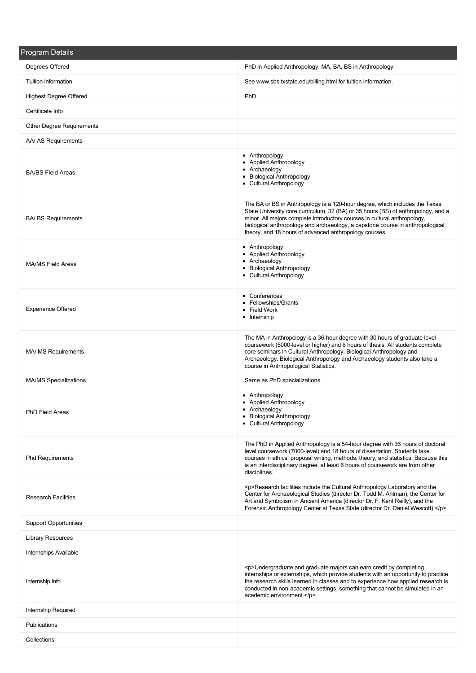| <b>Program Details</b>       |                                                                                                                                                                                                                                                                                                                                                                                          |
|------------------------------|------------------------------------------------------------------------------------------------------------------------------------------------------------------------------------------------------------------------------------------------------------------------------------------------------------------------------------------------------------------------------------------|
| Degrees Offered              | PhD in Applied Anthropology; MA, BA, BS in Anthropology.                                                                                                                                                                                                                                                                                                                                 |
| <b>Tuition Information</b>   | See www.sbs.txstate.edu/billing.html for tuition information.                                                                                                                                                                                                                                                                                                                            |
| Highest Degree Offered       | PhD                                                                                                                                                                                                                                                                                                                                                                                      |
| Certificate Info             |                                                                                                                                                                                                                                                                                                                                                                                          |
| Other Degree Requirements    |                                                                                                                                                                                                                                                                                                                                                                                          |
| AA/ AS Requirements          |                                                                                                                                                                                                                                                                                                                                                                                          |
| <b>BA/BS Field Areas</b>     | • Anthropology<br>• Applied Anthropology<br>• Archaeology<br>• Biological Anthropology<br>• Cultural Anthropology                                                                                                                                                                                                                                                                        |
| <b>BA/ BS Requirements</b>   | The BA or BS in Anthropology is a 120-hour degree, which includes the Texas<br>State University core curriculum, 32 (BA) or 35 hours (BS) of anthropology, and a<br>minor. All majors complete introductory courses in cultural anthropology,<br>biological anthropology and archaeology, a capstone course in anthropological<br>theory, and 18 hours of advanced anthropology courses. |
| <b>MA/MS Field Areas</b>     | • Anthropology<br>• Applied Anthropology<br>• Archaeology<br>• Biological Anthropology<br>• Cultural Anthropology                                                                                                                                                                                                                                                                        |
| <b>Experience Offered</b>    | • Conferences<br>• Fellowships/Grants<br>• Field Work<br>• Internship                                                                                                                                                                                                                                                                                                                    |
| MA/ MS Requirements          | The MA in Anthropology is a 36-hour degree with 30 hours of graduate level<br>coursework (5000-level or higher) and 6 hours of thesis. All students complete<br>core seminars in Cultural Anthropology, Biological Anthropology and<br>Archaeology. Biological Anthropology and Archaeology students also take a<br>course in Anthropological Statistics.                                |
| <b>MA/MS Specializations</b> | Same as PhD specializations.                                                                                                                                                                                                                                                                                                                                                             |
| <b>PhD Field Areas</b>       | • Anthropology<br>• Applied Anthropology<br>• Archaeology<br>• Biological Anthropology<br>• Cultural Anthropology                                                                                                                                                                                                                                                                        |
| <b>Phd Requirements</b>      | The PhD in Applied Anthropology is a 54-hour degree with 36 hours of doctoral<br>level coursework (7000-level) and 18 hours of dissertation. Students take<br>courses in ethics, proposal writing, methods, theory, and statistics. Because this<br>is an interdisciplinary degree, at least 6 hours of coursework are from other<br>disciplines.                                        |
| <b>Research Facilities</b>   | <p>Research facilities include the Cultural Anthropology Laboratory and the<br/>Center for Archaeological Studies (director Dr. Todd M. Ahlman), the Center for<br/>Art and Symbolism in Ancient America (director Dr. F. Kent Reilly), and the<br/>Forensic Anthropology Center at Texas State (director Dr. Daniel Wescott).</p>                                                       |
| <b>Support Opportunities</b> |                                                                                                                                                                                                                                                                                                                                                                                          |
| <b>Library Resources</b>     |                                                                                                                                                                                                                                                                                                                                                                                          |
| Internships Available        |                                                                                                                                                                                                                                                                                                                                                                                          |
| Internship Info              | <p>Undergraduate and graduate majors can earn credit by completing<br/>internships or externships, which provide students with an opportunity to practice<br/>the research skills learned in classes and to experience how applied research is<br/>conducted in non-academic settings, something that cannot be simulated in an<br/>academic environment.</p>                            |
| Internship Required          |                                                                                                                                                                                                                                                                                                                                                                                          |
| Publications                 |                                                                                                                                                                                                                                                                                                                                                                                          |
| Collections                  |                                                                                                                                                                                                                                                                                                                                                                                          |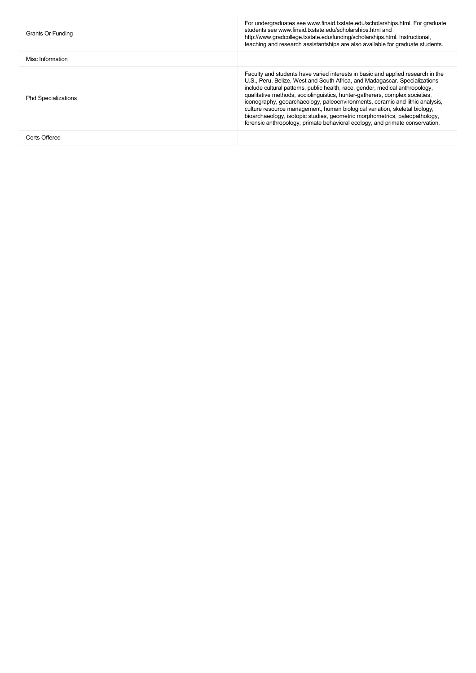|                                                                                                                                                                                                                                                                                                                                                                                                                                                                                                                                                                                                                                                                                         | teaching and research assistantships are also available for graduate students. |
|-----------------------------------------------------------------------------------------------------------------------------------------------------------------------------------------------------------------------------------------------------------------------------------------------------------------------------------------------------------------------------------------------------------------------------------------------------------------------------------------------------------------------------------------------------------------------------------------------------------------------------------------------------------------------------------------|--------------------------------------------------------------------------------|
| Misc Information                                                                                                                                                                                                                                                                                                                                                                                                                                                                                                                                                                                                                                                                        |                                                                                |
| Faculty and students have varied interests in basic and applied research in the<br>U.S., Peru, Belize, West and South Africa, and Madagascar. Specializations<br>include cultural patterns, public health, race, gender, medical anthropology,<br>qualitative methods, sociolinguistics, hunter-gatherers, complex societies,<br><b>Phd Specializations</b><br>iconography, geoarchaeology, paleoenvironments, ceramic and lithic analysis,<br>culture resource management, human biological variation, skeletal biology,<br>bioarchaeology, isotopic studies, geometric morphometrics, paleopathology,<br>forensic anthropology, primate behavioral ecology, and primate conservation. |                                                                                |
| Certs Offered                                                                                                                                                                                                                                                                                                                                                                                                                                                                                                                                                                                                                                                                           |                                                                                |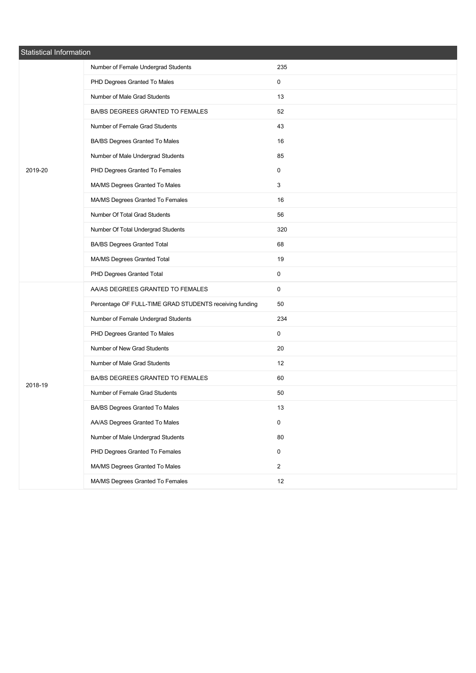| <b>Statistical Information</b> |                                                         |                |  |
|--------------------------------|---------------------------------------------------------|----------------|--|
|                                | Number of Female Undergrad Students                     | 235            |  |
|                                | PHD Degrees Granted To Males                            | 0              |  |
| 2019-20                        | Number of Male Grad Students                            | 13             |  |
|                                | BA/BS DEGREES GRANTED TO FEMALES                        | 52             |  |
|                                | Number of Female Grad Students                          | 43             |  |
|                                | BA/BS Degrees Granted To Males                          | 16             |  |
|                                | Number of Male Undergrad Students                       | 85             |  |
|                                | PHD Degrees Granted To Females                          | 0              |  |
|                                | MA/MS Degrees Granted To Males                          | 3              |  |
|                                | MA/MS Degrees Granted To Females                        | 16             |  |
|                                | Number Of Total Grad Students                           | 56             |  |
|                                | Number Of Total Undergrad Students                      | 320            |  |
|                                | <b>BA/BS Degrees Granted Total</b>                      | 68             |  |
|                                | MA/MS Degrees Granted Total                             | 19             |  |
|                                | PHD Degrees Granted Total                               | 0              |  |
|                                | AA/AS DEGREES GRANTED TO FEMALES                        | 0              |  |
|                                | Percentage OF FULL-TIME GRAD STUDENTS receiving funding | 50             |  |
|                                | Number of Female Undergrad Students                     | 234            |  |
|                                | PHD Degrees Granted To Males                            | 0              |  |
|                                | Number of New Grad Students                             | 20             |  |
|                                | Number of Male Grad Students                            | 12             |  |
| 2018-19                        | BA/BS DEGREES GRANTED TO FEMALES                        | 60             |  |
|                                | Number of Female Grad Students                          | 50             |  |
|                                | BA/BS Degrees Granted To Males                          | 13             |  |
|                                | AA/AS Degrees Granted To Males                          | 0              |  |
|                                | Number of Male Undergrad Students                       | 80             |  |
|                                | PHD Degrees Granted To Females                          | 0              |  |
|                                | MA/MS Degrees Granted To Males                          | $\overline{2}$ |  |
|                                | MA/MS Degrees Granted To Females                        | $12\,$         |  |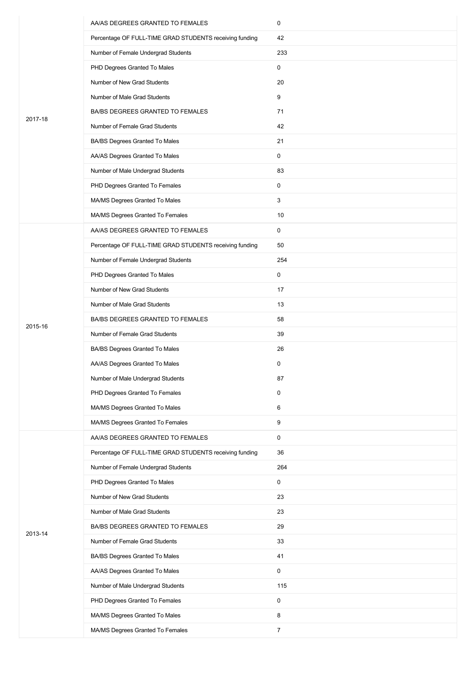|         | AA/AS DEGREES GRANTED TO FEMALES                        | 0              |
|---------|---------------------------------------------------------|----------------|
|         | Percentage OF FULL-TIME GRAD STUDENTS receiving funding | 42             |
|         | Number of Female Undergrad Students                     | 233            |
|         | PHD Degrees Granted To Males                            | 0              |
|         | Number of New Grad Students                             | 20             |
|         | Number of Male Grad Students                            | 9              |
| 2017-18 | BA/BS DEGREES GRANTED TO FEMALES                        | 71             |
|         | Number of Female Grad Students                          | 42             |
|         | BA/BS Degrees Granted To Males                          | 21             |
|         | AA/AS Degrees Granted To Males                          | 0              |
|         | Number of Male Undergrad Students                       | 83             |
|         | PHD Degrees Granted To Females                          | $\mathbf 0$    |
|         | MA/MS Degrees Granted To Males                          | 3              |
|         | MA/MS Degrees Granted To Females                        | 10             |
|         | AA/AS DEGREES GRANTED TO FEMALES                        | 0              |
|         | Percentage OF FULL-TIME GRAD STUDENTS receiving funding | 50             |
|         | Number of Female Undergrad Students                     | 254            |
|         | PHD Degrees Granted To Males                            | 0              |
|         | Number of New Grad Students                             | 17             |
|         | Number of Male Grad Students                            | 13             |
|         | BA/BS DEGREES GRANTED TO FEMALES                        | 58             |
| 2015-16 | Number of Female Grad Students                          | 39             |
|         | BA/BS Degrees Granted To Males                          | 26             |
|         | AA/AS Degrees Granted To Males                          | 0              |
|         | Number of Male Undergrad Students                       | 87             |
|         | PHD Degrees Granted To Females                          | 0              |
|         | MA/MS Degrees Granted To Males                          | 6              |
|         | MA/MS Degrees Granted To Females                        | 9              |
|         | AA/AS DEGREES GRANTED TO FEMALES                        | 0              |
|         | Percentage OF FULL-TIME GRAD STUDENTS receiving funding | 36             |
|         | Number of Female Undergrad Students                     | 264            |
|         | PHD Degrees Granted To Males                            | 0              |
|         | Number of New Grad Students                             | 23             |
|         | Number of Male Grad Students                            | 23             |
| 2013-14 | BA/BS DEGREES GRANTED TO FEMALES                        | 29             |
|         | Number of Female Grad Students                          | 33             |
|         | BA/BS Degrees Granted To Males                          | 41             |
|         | AA/AS Degrees Granted To Males                          | 0              |
|         | Number of Male Undergrad Students                       | 115            |
|         | PHD Degrees Granted To Females                          | 0              |
|         | MA/MS Degrees Granted To Males                          | 8              |
|         | MA/MS Degrees Granted To Females                        | $\overline{7}$ |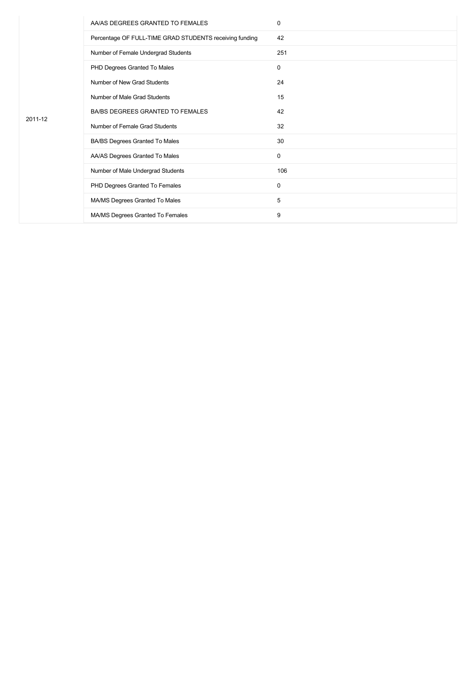|         | AA/AS DEGREES GRANTED TO FEMALES                        | 0           |
|---------|---------------------------------------------------------|-------------|
|         | Percentage OF FULL-TIME GRAD STUDENTS receiving funding | 42          |
|         | Number of Female Undergrad Students                     | 251         |
|         | PHD Degrees Granted To Males                            | $\mathbf 0$ |
|         | Number of New Grad Students                             | 24          |
| 2011-12 | Number of Male Grad Students                            | 15          |
|         | BA/BS DEGREES GRANTED TO FEMALES                        | 42          |
|         | Number of Female Grad Students                          | 32          |
|         | BA/BS Degrees Granted To Males                          | 30          |
|         | AA/AS Degrees Granted To Males                          | $\mathbf 0$ |
|         | Number of Male Undergrad Students                       | 106         |
|         | PHD Degrees Granted To Females                          | 0           |
|         | MA/MS Degrees Granted To Males                          | 5           |
|         | MA/MS Degrees Granted To Females                        | 9           |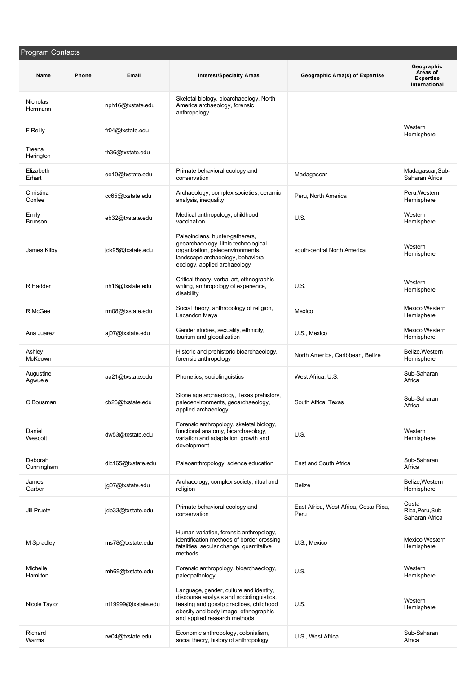| Program Contacts        |       |                     |                                                                                                                                                                                                        |                                               |                                                             |
|-------------------------|-------|---------------------|--------------------------------------------------------------------------------------------------------------------------------------------------------------------------------------------------------|-----------------------------------------------|-------------------------------------------------------------|
| Name                    | Phone | Email               | <b>Interest/Specialty Areas</b>                                                                                                                                                                        | Geographic Area(s) of Expertise               | Geographic<br>Areas of<br><b>Expertise</b><br>International |
| Nicholas<br>Herrmann    |       | nph16@txstate.edu   | Skeletal biology, bioarchaeology, North<br>America archaeology, forensic<br>anthropology                                                                                                               |                                               |                                                             |
| F Reilly                |       | fr04@txstate.edu    |                                                                                                                                                                                                        |                                               | Western<br>Hemisphere                                       |
| Treena<br>Herington     |       | th36@txstate.edu    |                                                                                                                                                                                                        |                                               |                                                             |
| Elizabeth<br>Erhart     |       | ee10@txstate.edu    | Primate behavioral ecology and<br>conservation                                                                                                                                                         | Madagascar                                    | Madagascar, Sub-<br>Saharan Africa                          |
| Christina<br>Conlee     |       | cc65@txstate.edu    | Archaeology, complex societies, ceramic<br>analysis, inequality                                                                                                                                        | Peru, North America                           | Peru, Western<br>Hemisphere                                 |
| Emily<br><b>Brunson</b> |       | eb32@txstate.edu    | Medical anthropology, childhood<br>vaccination                                                                                                                                                         | U.S.                                          | Western<br>Hemisphere                                       |
| James Kilby             |       | jdk95@txstate.edu   | Paleoindians, hunter-gatherers,<br>geoarchaeology, lithic technological<br>organization, paleoenvironments,<br>landscape archaeology, behavioral<br>ecology, applied archaeology                       | south-central North America                   | Western<br>Hemisphere                                       |
| R Hadder                |       | nh16@txstate.edu    | Critical theory, verbal art, ethnographic<br>writing, anthropology of experience,<br>disability                                                                                                        | U.S.                                          | Western<br>Hemisphere                                       |
| R McGee                 |       | rm08@txstate.edu    | Social theory, anthropology of religion,<br>Lacandon Maya                                                                                                                                              | Mexico                                        | Mexico, Western<br>Hemisphere                               |
| Ana Juarez              |       | aj07@txstate.edu    | Gender studies, sexuality, ethnicity,<br>tourism and globalization                                                                                                                                     | U.S., Mexico                                  | Mexico, Western<br>Hemisphere                               |
| Ashley<br>McKeown       |       |                     | Historic and prehistoric bioarchaeology,<br>forensic anthropology                                                                                                                                      | North America, Caribbean, Belize              | Belize, Western<br>Hemisphere                               |
| Augustine<br>Agwuele    |       | aa21@txstate.edu    | Phonetics, sociolinguistics                                                                                                                                                                            | West Africa, U.S.                             | Sub-Saharan<br>Africa                                       |
| C Bousman               |       | cb26@txstate.edu    | Stone age archaeology, Texas prehistory,<br>paleoenvironments, geoarchaeology,<br>applied archaeology                                                                                                  | South Africa, Texas                           | Sub-Saharan<br>Africa                                       |
| Daniel<br>Wescott       |       | dw53@txstate.edu    | Forensic anthropology, skeletal biology,<br>functional anatomy, bioarchaeology,<br>variation and adaptation, growth and<br>development                                                                 | U.S.                                          | Western<br>Hemisphere                                       |
| Deborah<br>Cunningham   |       | dlc165@txstate.edu  | Paleoanthropology, science education                                                                                                                                                                   | East and South Africa                         | Sub-Saharan<br>Africa                                       |
| James<br>Garber         |       | jg07@txstate.edu    | Archaeology, complex society, ritual and<br>religion                                                                                                                                                   | Belize                                        | Belize, Western<br>Hemisphere                               |
| Jill Pruetz             |       | jdp33@txstate.edu   | Primate behavioral ecology and<br>conservation                                                                                                                                                         | East Africa, West Africa, Costa Rica,<br>Peru | Costa<br>Rica, Peru, Sub-<br>Saharan Africa                 |
| M Spradley              |       | ms78@txstate.edu    | Human variation, forensic anthropology,<br>identification methods of border crossing<br>fatalities, secular change, quantitative<br>methods                                                            | U.S., Mexico                                  | Mexico, Western<br>Hemisphere                               |
| Michelle<br>Hamilton    |       | mh69@txstate.edu    | Forensic anthropology, bioarchaeology,<br>paleopathology                                                                                                                                               | U.S.                                          | Western<br>Hemisphere                                       |
| Nicole Taylor           |       | nt19999@txstate.edu | Language, gender, culture and identity,<br>discourse analysis and sociolinguistics,<br>teasing and gossip practices, childhood<br>obesity and body image, ethnographic<br>and applied research methods | U.S.                                          | Western<br>Hemisphere                                       |
| Richard<br>Warms        |       | rw04@txstate.edu    | Economic anthropology, colonialism,<br>social theory, history of anthropology                                                                                                                          | U.S., West Africa                             | Sub-Saharan<br>Africa                                       |